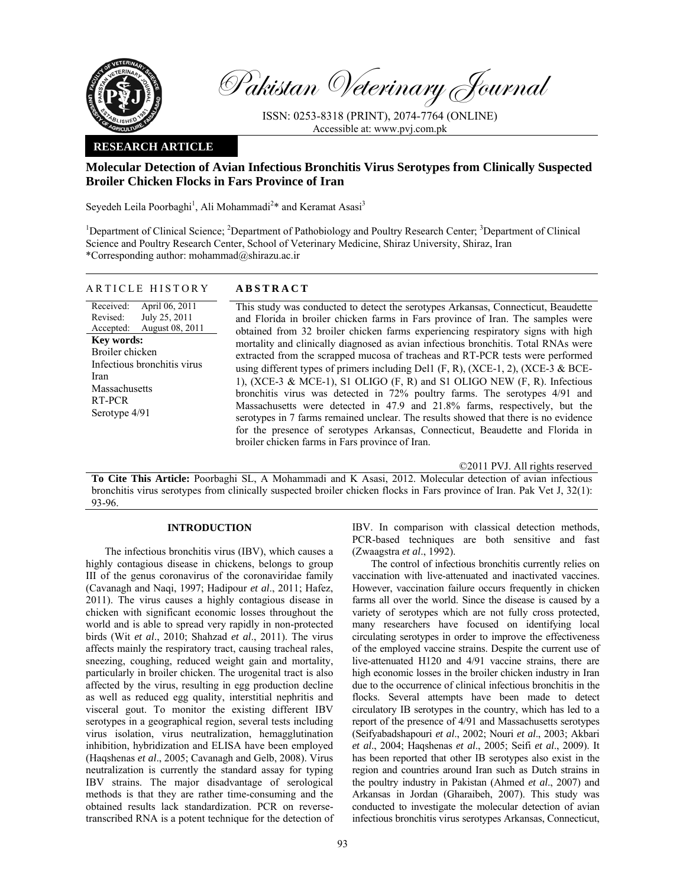

Pakistan Veterinary Journal

ISSN: 0253-8318 (PRINT), 2074-7764 (ONLINE) Accessible at: www.pvj.com.pk

## **RESEARCH ARTICLE**

# **Molecular Detection of Avian Infectious Bronchitis Virus Serotypes from Clinically Suspected Broiler Chicken Flocks in Fars Province of Iran**

Seyedeh Leila Poorbaghi<sup>1</sup>, Ali Mohammadi<sup>2\*</sup> and Keramat Asasi<sup>3</sup>

<sup>1</sup>Department of Clinical Science; <sup>2</sup>Department of Pathobiology and Poultry Research Center; <sup>3</sup>Department of Clinical Science and Poultry Research Center, School of Veterinary Medicine, Shiraz University, Shiraz, Iran \*Corresponding author: mohammad@shirazu.ac.ir

## ARTICLE HISTORY **ABSTRACT**

Received: Revised: Accepted: April 06, 2011 July 25, 2011 August 08, 2011 **Key words:**  Broiler chicken Infectious bronchitis virus Iran Massachusetts RT-PCR Serotype 4/91

This study was conducted to detect the serotypes Arkansas, Connecticut, Beaudette and Florida in broiler chicken farms in Fars province of Iran. The samples were obtained from 32 broiler chicken farms experiencing respiratory signs with high mortality and clinically diagnosed as avian infectious bronchitis. Total RNAs were extracted from the scrapped mucosa of tracheas and RT-PCR tests were performed using different types of primers including Del1  $(F, R)$ ,  $(XCE-1, 2)$ ,  $(XCE-3 & BCE-$ 1), (XCE-3 & MCE-1), S1 OLIGO (F, R) and S1 OLIGO NEW (F, R). Infectious bronchitis virus was detected in 72% poultry farms. The serotypes 4/91 and Massachusetts were detected in 47.9 and 21.8% farms, respectively, but the serotypes in 7 farms remained unclear. The results showed that there is no evidence for the presence of serotypes Arkansas, Connecticut, Beaudette and Florida in broiler chicken farms in Fars province of Iran.

©2011 PVJ. All rights reserved

**To Cite This Article:** Poorbaghi SL, A Mohammadi and K Asasi, 2012. Molecular detection of avian infectious bronchitis virus serotypes from clinically suspected broiler chicken flocks in Fars province of Iran. Pak Vet J, 32(1): 93-96.

## **INTRODUCTION**

The infectious bronchitis virus (IBV), which causes a highly contagious disease in chickens, belongs to group III of the genus coronavirus of the coronaviridae family (Cavanagh and Naqi, 1997; Hadipour *et al*., 2011; Hafez, 2011). The virus causes a highly contagious disease in chicken with significant economic losses throughout the world and is able to spread very rapidly in non-protected birds (Wit *et al*., 2010; Shahzad *et al*., 2011). The virus affects mainly the respiratory tract, causing tracheal rales, sneezing, coughing, reduced weight gain and mortality, particularly in broiler chicken. The urogenital tract is also affected by the virus, resulting in egg production decline as well as reduced egg quality, interstitial nephritis and visceral gout. To monitor the existing different IBV serotypes in a geographical region, several tests including virus isolation, virus neutralization, hemagglutination inhibition, hybridization and ELISA have been employed (Haqshenas *et al*., 2005; Cavanagh and Gelb, 2008). Virus neutralization is currently the standard assay for typing IBV strains. The major disadvantage of serological methods is that they are rather time-consuming and the obtained results lack standardization. PCR on reversetranscribed RNA is a potent technique for the detection of IBV. In comparison with classical detection methods, PCR-based techniques are both sensitive and fast (Zwaagstra *et al*., 1992).

The control of infectious bronchitis currently relies on vaccination with live-attenuated and inactivated vaccines. However, vaccination failure occurs frequently in chicken farms all over the world. Since the disease is caused by a variety of serotypes which are not fully cross protected, many researchers have focused on identifying local circulating serotypes in order to improve the effectiveness of the employed vaccine strains. Despite the current use of live-attenuated H120 and 4/91 vaccine strains, there are high economic losses in the broiler chicken industry in Iran due to the occurrence of clinical infectious bronchitis in the flocks. Several attempts have been made to detect circulatory IB serotypes in the country, which has led to a report of the presence of 4/91 and Massachusetts serotypes (Seifyabadshapouri *et al*., 2002; Nouri *et al*., 2003; Akbari *et al*., 2004; Haqshenas *et al*., 2005; Seifi *et al*., 2009). It has been reported that other IB serotypes also exist in the region and countries around Iran such as Dutch strains in the poultry industry in Pakistan (Ahmed *et al*., 2007) and Arkansas in Jordan (Gharaibeh, 2007). This study was conducted to investigate the molecular detection of avian infectious bronchitis virus serotypes Arkansas, Connecticut,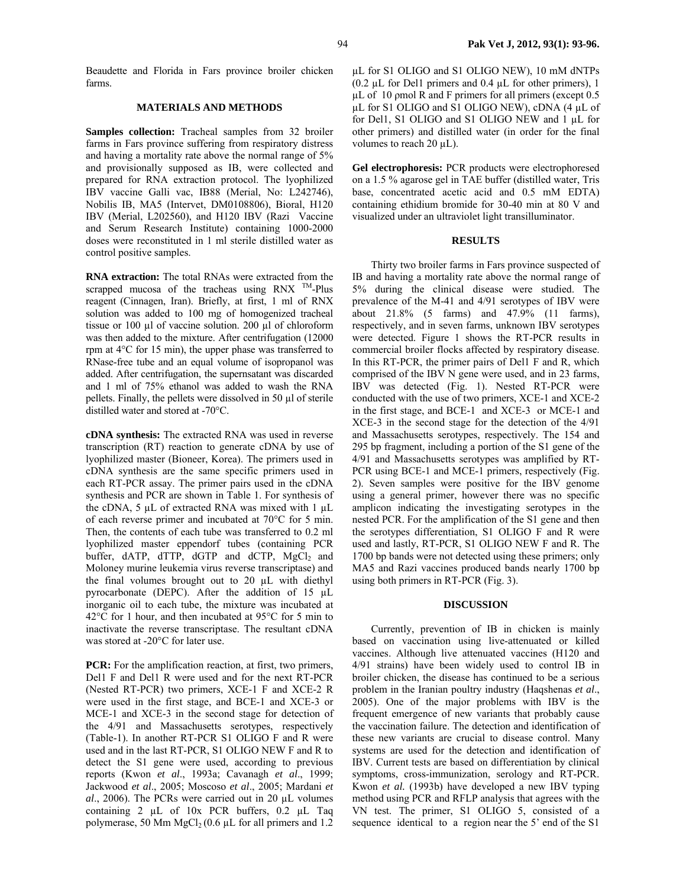Beaudette and Florida in Fars province broiler chicken farms.

## **MATERIALS AND METHODS**

**Samples collection:** Tracheal samples from 32 broiler farms in Fars province suffering from respiratory distress and having a mortality rate above the normal range of 5% and provisionally supposed as IB, were collected and prepared for RNA extraction protocol. The lyophilized IBV vaccine Galli vac, IB88 (Merial, No: L242746), Nobilis IB, MA5 (Intervet, DM0108806), Bioral, H120 IBV (Merial, L202560), and H120 IBV (Razi Vaccine and Serum Research Institute) containing 1000-2000 doses were reconstituted in 1 ml sterile distilled water as control positive samples.

**RNA extraction:** The total RNAs were extracted from the scrapped mucosa of the tracheas using RNX  $^{TM}$ -Plus reagent (Cinnagen, Iran). Briefly, at first, 1 ml of RNX solution was added to 100 mg of homogenized tracheal tissue or 100 µl of vaccine solution. 200 µl of chloroform was then added to the mixture. After centrifugation (12000 rpm at 4°C for 15 min), the upper phase was transferred to RNase-free tube and an equal volume of isopropanol was added. After centrifugation, the supernsatant was discarded and 1 ml of 75% ethanol was added to wash the RNA pellets. Finally, the pellets were dissolved in 50 µl of sterile distilled water and stored at -70°C.

**cDNA synthesis:** The extracted RNA was used in reverse transcription (RT) reaction to generate cDNA by use of lyophilized master (Bioneer, Korea). The primers used in cDNA synthesis are the same specific primers used in each RT-PCR assay. The primer pairs used in the cDNA synthesis and PCR are shown in Table 1. For synthesis of the cDNA, 5  $\mu$ L of extracted RNA was mixed with 1  $\mu$ L of each reverse primer and incubated at 70°C for 5 min. Then, the contents of each tube was transferred to 0.2 ml lyophilized master eppendorf tubes (containing PCR buffer, dATP, dTTP, dGTP and dCTP,  $MgCl<sub>2</sub>$  and Moloney murine leukemia virus reverse transcriptase) and the final volumes brought out to 20 µL with diethyl pyrocarbonate (DEPC). After the addition of 15 µL inorganic oil to each tube, the mixture was incubated at 42°C for 1 hour, and then incubated at 95°C for 5 min to inactivate the reverse transcriptase. The resultant cDNA was stored at -20°C for later use.

PCR: For the amplification reaction, at first, two primers, Del1 F and Del1 R were used and for the next RT-PCR (Nested RT-PCR) two primers, XCE-1 F and XCE-2 R were used in the first stage, and BCE-1 and XCE-3 or MCE-1 and XCE-3 in the second stage for detection of the 4/91 and Massachusetts serotypes, respectively (Table-1). In another RT-PCR S1 OLIGO F and R were used and in the last RT-PCR, S1 OLIGO NEW F and R to detect the S1 gene were used, according to previous reports (Kwon *et al*., 1993a; Cavanagh *et al*., 1999; Jackwood *et al*., 2005; Moscoso *et al*., 2005; Mardani *et al*., 2006). The PCRs were carried out in 20 µL volumes containing 2 µL of 10x PCR buffers, 0.2 µL Taq polymerase, 50 Mm  $MgCl<sub>2</sub>(0.6 \mu L)$  for all primers and 1.2

µL for S1 OLIGO and S1 OLIGO NEW), 10 mM dNTPs (0.2 µL for Del1 primers and 0.4 µL for other primers), 1 µL of 10 ρmol R and F primers for all primers (except 0.5 µL for S1 OLIGO and S1 OLIGO NEW), cDNA (4 µL of for Del1, S1 OLIGO and S1 OLIGO NEW and 1 µL for other primers) and distilled water (in order for the final volumes to reach  $20 \mu L$ ).

**Gel electrophoresis:** PCR products were electrophoresed on a 1.5 % agarose gel in TAE buffer (distilled water, Tris base, concentrated acetic acid and 0.5 mM EDTA) containing ethidium bromide for 30-40 min at 80 V and visualized under an ultraviolet light transilluminator.

#### **RESULTS**

Thirty two broiler farms in Fars province suspected of IB and having a mortality rate above the normal range of 5% during the clinical disease were studied. The prevalence of the M-41 and 4/91 serotypes of IBV were about 21.8% (5 farms) and 47.9% (11 farms), respectively, and in seven farms, unknown IBV serotypes were detected. Figure 1 shows the RT-PCR results in commercial broiler flocks affected by respiratory disease. In this RT-PCR, the primer pairs of Del1 F and R, which comprised of the IBV N gene were used, and in 23 farms, IBV was detected (Fig. 1). Nested RT-PCR were conducted with the use of two primers, XCE-1 and XCE-2 in the first stage, and BCE-1 and XCE-3 or MCE-1 and XCE-3 in the second stage for the detection of the 4/91 and Massachusetts serotypes, respectively. The 154 and 295 bp fragment, including a portion of the S1 gene of the 4/91 and Massachusetts serotypes was amplified by RT-PCR using BCE-1 and MCE-1 primers, respectively (Fig. 2). Seven samples were positive for the IBV genome using a general primer, however there was no specific amplicon indicating the investigating serotypes in the nested PCR. For the amplification of the S1 gene and then the serotypes differentiation, S1 OLIGO F and R were used and lastly, RT-PCR, S1 OLIGO NEW F and R. The 1700 bp bands were not detected using these primers; only MA5 and Razi vaccines produced bands nearly 1700 bp using both primers in RT-PCR (Fig. 3).

### **DISCUSSION**

Currently, prevention of IB in chicken is mainly based on vaccination using live-attenuated or killed vaccines. Although live attenuated vaccines (H120 and 4/91 strains) have been widely used to control IB in broiler chicken, the disease has continued to be a serious problem in the Iranian poultry industry (Haqshenas *et al*., 2005). One of the major problems with IBV is the frequent emergence of new variants that probably cause the vaccination failure. The detection and identification of these new variants are crucial to disease control. Many systems are used for the detection and identification of IBV. Current tests are based on differentiation by clinical symptoms, cross-immunization, serology and RT-PCR. Kwon *et al.* (1993b) have developed a new IBV typing method using PCR and RFLP analysis that agrees with the VN test. The primer, S1 OLIGO 5, consisted of a sequence identical to a region near the 5' end of the S1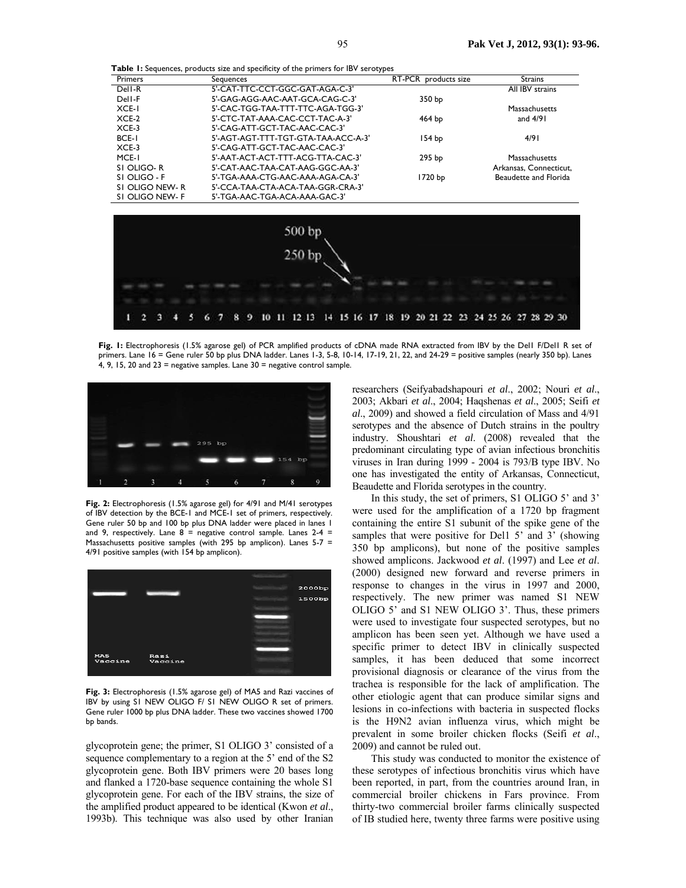**Table 1:** Sequences, products size and specificity of the primers for IBV serotypes

| Primers        | Sequences                           | RT-PCR products size | <b>Strains</b>         |
|----------------|-------------------------------------|----------------------|------------------------|
| Dell-R         | 5'-CAT-TTC-CCT-GGC-GAT-AGA-C-3'     |                      | All IBV strains        |
| Dell-F         | 5'-GAG-AGG-AAC-AAT-GCA-CAG-C-3'     | 350 bp               |                        |
| XCE-I          | 5'-CAC-TGG-TAA-TTT-TTC-AGA-TGG-3'   |                      | Massachusetts          |
| $XCE-2$        | 5'-CTC-TAT-AAA-CAC-CCT-TAC-A-3'     | $464$ bp             | and $4/91$             |
| $XCE-3$        | 5'-CAG-ATT-GCT-TAC-AAC-CAC-3'       |                      |                        |
| <b>BCE-I</b>   | 5'-AGT-AGT-TTT-TGT-GTA-TAA-ACC-A-3' | 154 bp               | 4/91                   |
| $XCE-3$        | 5'-CAG-ATT-GCT-TAC-AAC-CAC-3'       |                      |                        |
| MCE-I          | 5'-AAT-ACT-ACT-TTT-ACG-TTA-CAC-3'   | 295 <sub>bp</sub>    | Massachusetts          |
| SI OLIGO-R     | 5'-CAT-AAC-TAA-CAT-AAG-GGC-AA-3'    |                      | Arkansas, Connecticut, |
| SI OLIGO - F   | 5'-TGA-AAA-CTG-AAC-AAA-AGA-CA-3'    | 1720 bp              | Beaudette and Florida  |
| SI OLIGO NEW-R | 5'-CCA-TAA-CTA-ACA-TAA-GGR-CRA-3'   |                      |                        |
| SI OLIGO NEW-F | 5'-TGA-AAC-TGA-ACA-AAA-GAC-3'       |                      |                        |



**Fig. 1:** Electrophoresis (1.5% agarose gel) of PCR amplified products of cDNA made RNA extracted from IBV by the Del1 F/Del1 R set of primers. Lane 16 = Gene ruler 50 bp plus DNA ladder. Lanes 1-3, 5-8, 10-14, 17-19, 21, 22, and 24-29 = positive samples (nearly 350 bp). Lanes 4, 9, 15, 20 and  $23$  = negative samples. Lane  $30$  = negative control sample.



**Fig. 2:** Electrophoresis (1.5% agarose gel) for 4/91 and M/41 serotypes of IBV detection by the BCE-1 and MCE-1 set of primers, respectively. Gene ruler 50 bp and 100 bp plus DNA ladder were placed in lanes 1 and 9, respectively. Lane  $8 =$  negative control sample. Lanes 2-4 = Massachusetts positive samples (with 295 bp amplicon). Lanes 5-7 = 4/91 positive samples (with 154 bp amplicon).



**Fig. 3:** Electrophoresis (1.5% agarose gel) of MA5 and Razi vaccines of IBV by using S1 NEW OLIGO F/ S1 NEW OLIGO R set of primers. Gene ruler 1000 bp plus DNA ladder. These two vaccines showed 1700 bp bands.

glycoprotein gene; the primer, S1 OLIGO 3' consisted of a sequence complementary to a region at the 5' end of the S2 glycoprotein gene. Both IBV primers were 20 bases long and flanked a 1720-base sequence containing the whole S1 glycoprotein gene. For each of the IBV strains, the size of the amplified product appeared to be identical (Kwon *et al*., 1993b). This technique was also used by other Iranian

researchers (Seifyabadshapouri *et al*., 2002; Nouri *et al*., 2003; Akbari *et al*., 2004; Haqshenas *et al*., 2005; Seifi *et al*., 2009) and showed a field circulation of Mass and 4/91 serotypes and the absence of Dutch strains in the poultry industry. Shoushtari *et al*. (2008) revealed that the predominant circulating type of avian infectious bronchitis viruses in Iran during 1999 - 2004 is 793/B type IBV. No one has investigated the entity of Arkansas, Connecticut, Beaudette and Florida serotypes in the country.

In this study, the set of primers, S1 OLIGO 5' and 3' were used for the amplification of a 1720 bp fragment containing the entire S1 subunit of the spike gene of the samples that were positive for Del1 5' and 3' (showing 350 bp amplicons), but none of the positive samples showed amplicons. Jackwood *et al*. (1997) and Lee *et al*. (2000) designed new forward and reverse primers in response to changes in the virus in 1997 and 2000, respectively. The new primer was named S1 NEW OLIGO 5' and S1 NEW OLIGO 3'. Thus, these primers were used to investigate four suspected serotypes, but no amplicon has been seen yet. Although we have used a specific primer to detect IBV in clinically suspected samples, it has been deduced that some incorrect provisional diagnosis or clearance of the virus from the trachea is responsible for the lack of amplification. The other etiologic agent that can produce similar signs and lesions in co-infections with bacteria in suspected flocks is the H9N2 avian influenza virus, which might be prevalent in some broiler chicken flocks (Seifi *et al*., 2009) and cannot be ruled out.

This study was conducted to monitor the existence of these serotypes of infectious bronchitis virus which have been reported, in part, from the countries around Iran, in commercial broiler chickens in Fars province. From thirty-two commercial broiler farms clinically suspected of IB studied here, twenty three farms were positive using